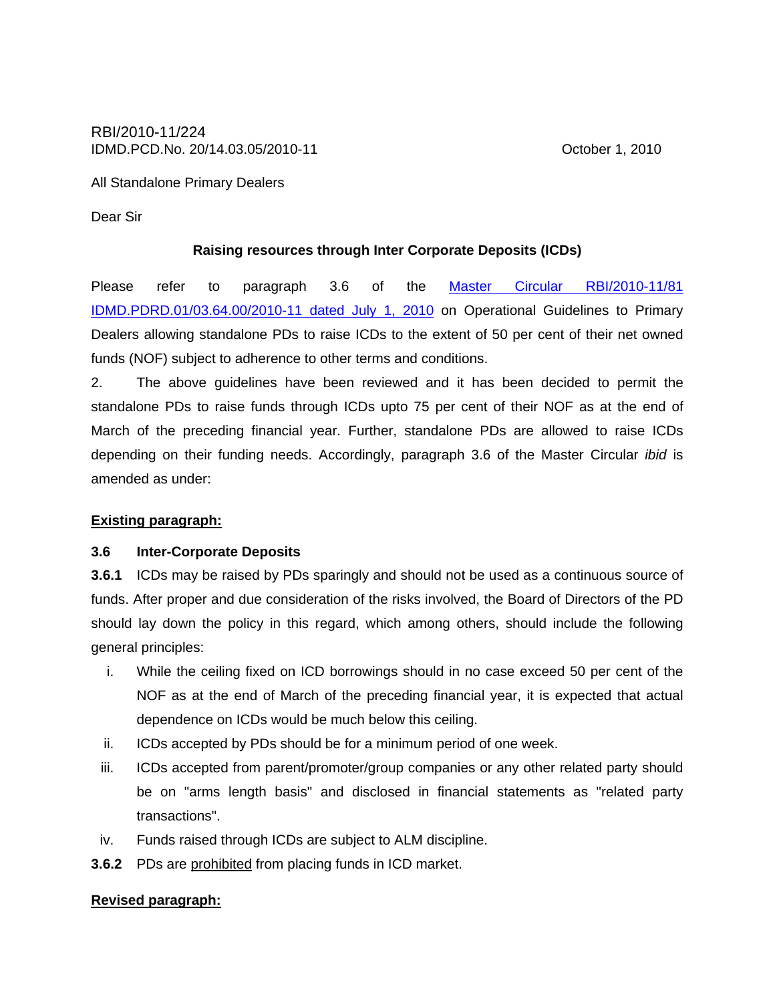All Standalone Primary Dealers

Dear Sir

## **Raising resources through Inter Corporate Deposits (ICDs)**

Please refer to paragraph 3.6 of the Master Circular RBI/2010-11/81 [IDMD.PDRD.01/03.64.00/2010-11 dated July 1, 2010](http://www.rbi.org.in/scripts/NotificationUser.aspx?Id=5820&Mode=0) on Operational Guidelines to Primary Dealers allowing standalone PDs to raise ICDs to the extent of 50 per cent of their net owned funds (NOF) subject to adherence to other terms and conditions.

2. The above guidelines have been reviewed and it has been decided to permit the standalone PDs to raise funds through ICDs upto 75 per cent of their NOF as at the end of March of the preceding financial year. Further, standalone PDs are allowed to raise ICDs depending on their funding needs. Accordingly, paragraph 3.6 of the Master Circular *ibid* is amended as under:

### **Existing paragraph:**

### **3.6 Inter-Corporate Deposits**

**3.6.1** ICDs may be raised by PDs sparingly and should not be used as a continuous source of funds. After proper and due consideration of the risks involved, the Board of Directors of the PD should lay down the policy in this regard, which among others, should include the following general principles:

- i. While the ceiling fixed on ICD borrowings should in no case exceed 50 per cent of the NOF as at the end of March of the preceding financial year, it is expected that actual dependence on ICDs would be much below this ceiling.
- ii. ICDs accepted by PDs should be for a minimum period of one week.
- iii. ICDs accepted from parent/promoter/group companies or any other related party should be on "arms length basis" and disclosed in financial statements as "related party transactions".
- iv. Funds raised through ICDs are subject to ALM discipline.
- **3.6.2** PDs are prohibited from placing funds in ICD market.

# **Revised paragraph:**